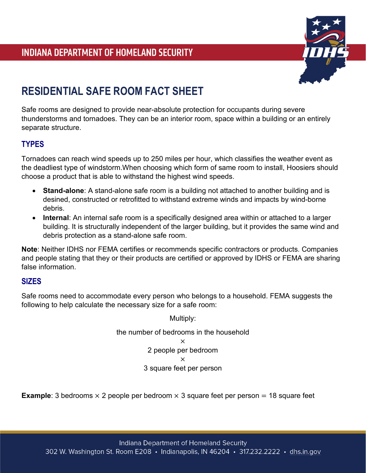

## **RESIDENTIAL SAFE ROOM FACT SHEET**

Safe rooms are designed to provide near-absolute protection for occupants during severe thunderstorms and tornadoes. They can be an interior room, space within a building or an entirely separate structure.

## **TYPES**

Tornadoes can reach wind speeds up to 250 miles per hour, which classifies the weather event as the deadliest type of windstorm.When choosing which form of same room to install, Hoosiers should choose a product that is able to withstand the highest wind speeds.

- **Stand-alone**: A stand-alone safe room is a building not attached to another building and is desined, constructed or retrofitted to withstand extreme winds and impacts by wind-borne debris.
- **Internal**: An internal safe room is a specifically designed area within or attached to a larger building. It is structurally independent of the larger building, but it provides the same wind and debris protection as a stand-alone safe room.

**Note**: Neither IDHS nor FEMA certifies or recommends specific contractors or products. Companies and people stating that they or their products are certified or approved by IDHS or FEMA are sharing false information.

## **SIZES**

Safe rooms need to accommodate every person who belongs to a household. FEMA suggests the following to help calculate the necessary size for a safe room:

Multiply:

the number of bedrooms in the household × 2 people per bedroom × 3 square feet per person

**Example**: 3 bedrooms  $\times$  2 people per bedroom  $\times$  3 square feet per person = 18 square feet